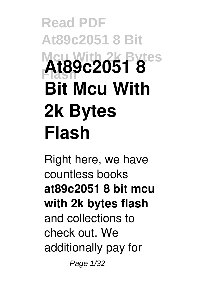# **Read PDF At89c2051 8 Bit Mcu With 2k Bytes Flash At89c2051 8 Bit Mcu With 2k Bytes Flash**

Right here, we have countless books **at89c2051 8 bit mcu with 2k bytes flash** and collections to check out. We additionally pay for Page 1/32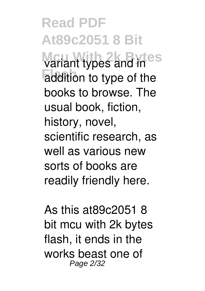**Read PDF At89c2051 8 Bit Variant types and ines** addition to type of the books to browse. The usual book, fiction, history, novel, scientific research, as well as various new sorts of books are readily friendly here.

As this at89c2051 8 bit mcu with 2k bytes flash, it ends in the works beast one of Page 2/32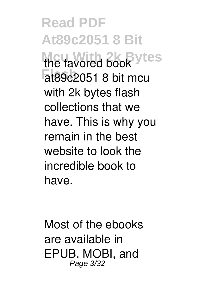**Read PDF At89c2051 8 Bit** the favored book<sup>ytes</sup> **Flash** at89c2051 8 bit mcu with 2k bytes flash collections that we have. This is why you remain in the best website to look the incredible book to have.

Most of the ebooks are available in EPUB, MOBI, and Page 3/32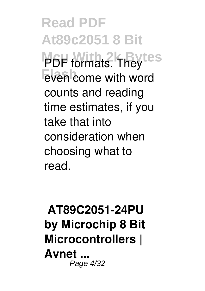**Read PDF At89c2051 8 Bit PDF** formats. They tes even come with word counts and reading time estimates, if you take that into consideration when choosing what to read.

#### **AT89C2051-24PU by Microchip 8 Bit Microcontrollers | Avnet ...** Page 4/32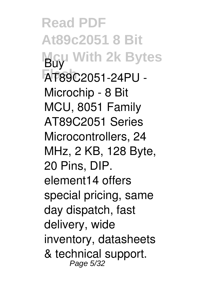**Read PDF At89c2051 8 Bit Mcu With 2k Bytes** Buy **Flash** AT89C2051-24PU - Microchip - 8 Bit MCU, 8051 Family AT89C2051 Series Microcontrollers, 24 MHz, 2 KB, 128 Byte, 20 Pins, DIP. element14 offers special pricing, same day dispatch, fast delivery, wide inventory, datasheets & technical support. Page 5/32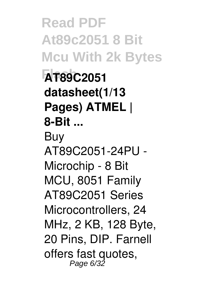**Read PDF At89c2051 8 Bit Mcu With 2k Bytes Flash AT89C2051 datasheet(1/13 Pages) ATMEL | 8-Bit ...** Buy AT89C2051-24PU - Microchip - 8 Bit MCU, 8051 Family AT89C2051 Series Microcontrollers, 24 MHz, 2 KB, 128 Byte, 20 Pins, DIP. Farnell offers fast quotes, Page 6/32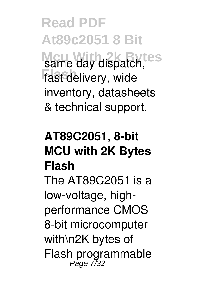**Read PDF At89c2051 8 Bit** same day dispatch, **fast delivery**, wide inventory, datasheets & technical support.

## **AT89C2051, 8-bit MCU with 2K Bytes Flash**

The AT89C2051 is a low-voltage, highperformance CMOS 8-bit microcomputer with\n2K bytes of Flash programmable Page 7/32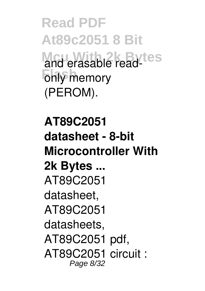**Read PDF At89c2051 8 Bit Mcu With 2k Bytes** and erasable read-**Fonly** memory (PEROM).

**AT89C2051 datasheet - 8-bit Microcontroller With 2k Bytes ...** AT89C2051 datasheet, AT89C2051 datasheets, AT89C2051 pdf, AT89C2051 circuit : Page 8/32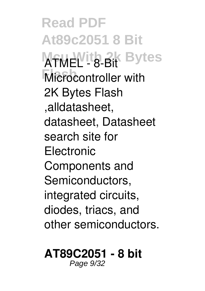**Read PDF At89c2051 8 Bit ATMEL - 8-Bit Bytes Microcontroller with** 2K Bytes Flash ,alldatasheet, datasheet, Datasheet search site for **Electronic** Components and Semiconductors, integrated circuits, diodes, triacs, and other semiconductors.

#### **AT89C2051 - 8 bit**

Page 9/32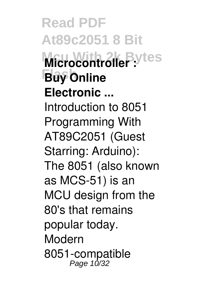**Read PDF At89c2051 8 Bit Microcontroller** : ytes **Flash Buy Online Electronic ...** Introduction to 8051 Programming With AT89C2051 (Guest Starring: Arduino): The 8051 (also known as MCS-51) is an MCU design from the 80's that remains popular today. Modern 8051-compatible<br>Page 10/32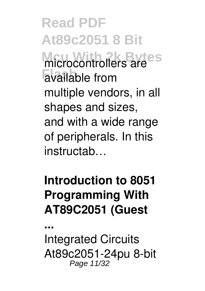**Read PDF At89c2051 8 Bit** microcontrollers are<sup>es</sup> **Flash** available from multiple vendors, in all shapes and sizes, and with a wide range of peripherals. In this instructab…

#### **Introduction to 8051 Programming With AT89C2051 (Guest**

Integrated Circuits At89c2051-24pu 8-bit Page 11/32

**...**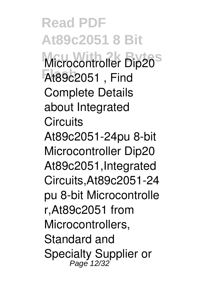**Read PDF At89c2051 8 Bit** Microcontroller Dip20<sup>S</sup> **Flash** At89c2051 , Find Complete Details about Integrated **Circuits** At89c2051-24pu 8-bit Microcontroller Dip20 At89c2051,Integrated Circuits,At89c2051-24 pu 8-bit Microcontrolle r,At89c2051 from Microcontrollers, Standard and Specialty Supplier or Page 12/32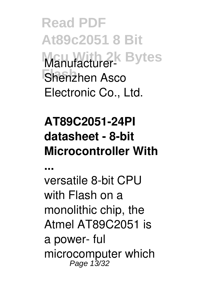**Read PDF At89c2051 8 Bit Manufacturer-** Bytes Shenzhen Asco Electronic Co., Ltd.

## **AT89C2051-24PI datasheet - 8-bit Microcontroller With**

**...**

versatile 8-bit CPU with Flash on a monolithic chip, the Atmel AT89C2051 is a power- ful microcomputer which<br>Page 13/32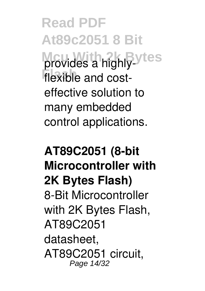**Read PDF At89c2051 8 Bit** provides a highly-les flexible and costeffective solution to many embedded control applications.

**AT89C2051 (8-bit Microcontroller with 2K Bytes Flash)** 8-Bit Microcontroller with 2K Bytes Flash, AT89C2051 datasheet, AT89C2051 circuit, Page 14/32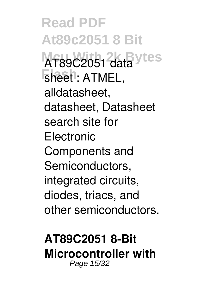**Read PDF At89c2051 8 Bit** AT89C2051 data ytes **Flash** sheet : ATMEL, alldatasheet, datasheet, Datasheet search site for **Electronic** Components and Semiconductors, integrated circuits, diodes, triacs, and other semiconductors.

#### **AT89C2051 8-Bit Microcontroller with** Page 15/32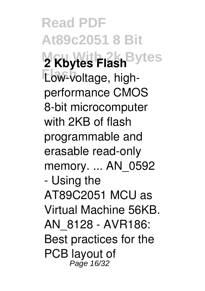**Read PDF At89c2051 8 Bit 2 Kbytes Flash** Bytes **Elow-voltage**, highperformance CMOS 8-bit microcomputer with 2KB of flash programmable and erasable read-only memory. ... AN\_0592 - Using the AT89C2051 MCU as Virtual Machine 56KB. AN\_8128 - AVR186: Best practices for the PCB layout of Page 16/32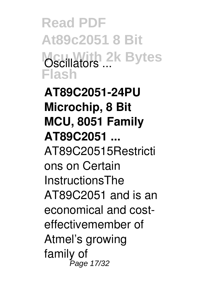**Read PDF At89c2051 8 Bit Oscillators ... Bytes Flash**

**AT89C2051-24PU Microchip, 8 Bit MCU, 8051 Family AT89C2051 ...** AT89C20515Restricti ons on Certain InstructionsThe AT89C2051 and is an economical and costeffectivemember of Atmel's growing family of Page 17/32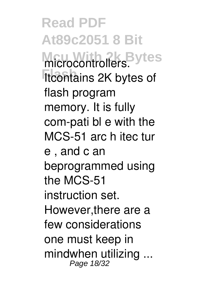**Read PDF At89c2051 8 Bit** microcontrollers.<sup>Bytes</sup> **Itcontains 2K bytes of** flash program memory. It is fully com-pati bl e with the MCS-51 arc h itec tur e , and c an beprogrammed using the MCS-51 instruction set. However,there are a few considerations one must keep in mindwhen utilizing ... Page 18/32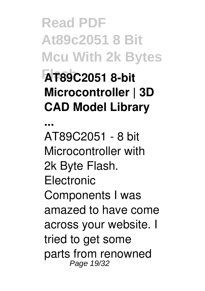**Read PDF At89c2051 8 Bit Mcu With 2k Bytes Flash AT89C2051 8-bit Microcontroller | 3D CAD Model Library**

**...**

AT89C2051 - 8 bit Microcontroller with 2k Byte Flash. **Electronic** Components I was amazed to have come across your website. I tried to get some parts from renowned Page 19/32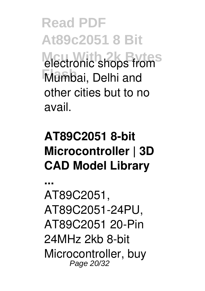**Read PDF At89c2051 8 Bit electronic shops from Flash** Mumbai, Delhi and other cities but to no avail.

## **AT89C2051 8-bit Microcontroller | 3D CAD Model Library**

**...** AT89C2051, AT89C2051-24PU, AT89C2051 20-Pin 24MHz 2kb 8-bit Microcontroller, buy Page 20/32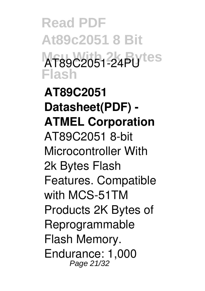**Read PDF At89c2051 8 Bit AT89C2051-24PU**tes **Flash**

**AT89C2051 Datasheet(PDF) - ATMEL Corporation** AT89C2051 8-bit Microcontroller With 2k Bytes Flash Features. Compatible with MCS-51TM Products 2K Bytes of Reprogrammable Flash Memory. Endurance: 1,000 Page 21/32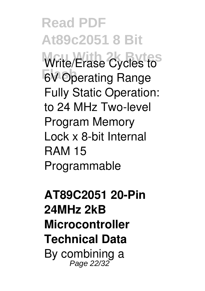**Read PDF At89c2051 8 Bit** Write/Erase Cycles to **Flash** 6V Operating Range Fully Static Operation: to 24 MHz Two-level Program Memory Lock x 8-bit Internal RAM 15 Programmable

**AT89C2051 20-Pin 24MHz 2kB Microcontroller Technical Data** By combining a Page 22/32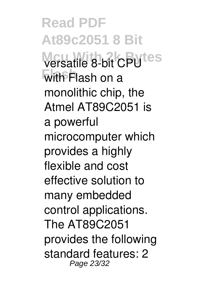**Read PDF At89c2051 8 Bit Versatile 8-bit CPUtes Flash** with Flash on a monolithic chip, the Atmel AT89C2051 is a powerful microcomputer which provides a highly flexible and cost effective solution to many embedded control applications. The AT89C2051 provides the following standard features: 2 Page 23/32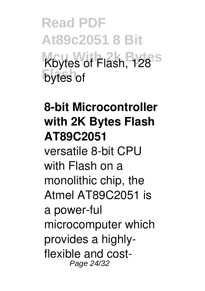**Read PDF At89c2051 8 Bit** Kbytes of Flash, 128<sup>S</sup> **bytes** of

**8-bit Microcontroller with 2K Bytes Flash AT89C2051** versatile 8-bit CPU with Flash on a monolithic chip, the Atmel AT89C2051 is a power-ful microcomputer which provides a highlyflexible and cost-Page 24/32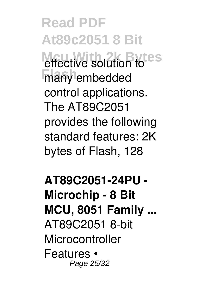**Read PDF At89c2051 8 Bit** effective solution to **Finany** embedded control applications. The AT89C2051 provides the following standard features: 2K bytes of Flash, 128

**AT89C2051-24PU - Microchip - 8 Bit MCU, 8051 Family ...** AT89C2051 8-bit Microcontroller Features • Page 25/32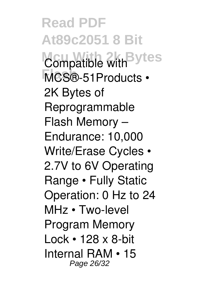**Read PDF At89c2051 8 Bit** Compatible with <sup>Bytes</sup> **Flash** MCS®-51Products • 2K Bytes of Reprogrammable Flash Memory – Endurance: 10,000 Write/Erase Cycles • 2.7V to 6V Operating Range • Fully Static Operation: 0 Hz to 24 MHz • Two-level Program Memory Lock • 128 x 8-bit Internal RAM • 15 Page 26/32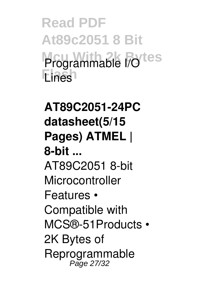**Read PDF At89c2051 8 Bit** Programmable I/Otes **Flash** Lines

**AT89C2051-24PC datasheet(5/15 Pages) ATMEL | 8-bit ...** AT89C2051 8-bit Microcontroller Features • Compatible with MCS®-51Products • 2K Bytes of Reprogrammable Page 27/32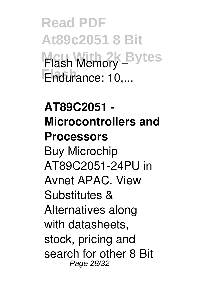**Read PDF At89c2051 8 Bit Mcu With 2k Bytes** Flash Memory – Endurance: 10,...

**AT89C2051 - Microcontrollers and Processors** Buy Microchip AT89C2051-24PU in Avnet APAC. View Substitutes & Alternatives along with datasheets, stock, pricing and search for other 8 Bit Page 28/32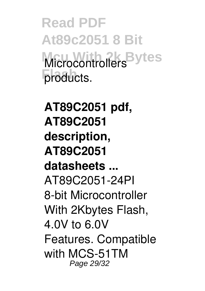**Read PDF At89c2051 8 Bit Microcontrollers** Bytes products.

**AT89C2051 pdf, AT89C2051 description, AT89C2051 datasheets ...** AT89C2051-24PI 8-bit Microcontroller With 2Kbytes Flash, 4.0V to 6.0V Features. Compatible with MCS-51TM Page 29/32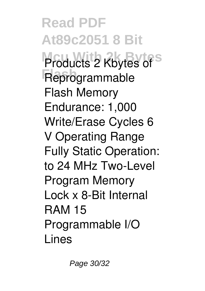**Read PDF At89c2051 8 Bit Products 2 Kbytes of Flash** Reprogrammable Flash Memory Endurance: 1,000 Write/Erase Cycles 6 V Operating Range Fully Static Operation: to 24 MHz Two-Level Program Memory Lock x 8-Bit Internal RAM 15 Programmable I/O Lines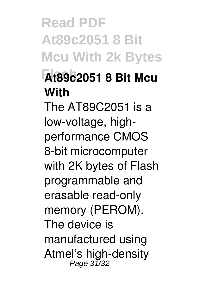**Read PDF At89c2051 8 Bit Mcu With 2k Bytes Flash At89c2051 8 Bit Mcu With** The AT89C2051 is a low-voltage, highperformance CMOS 8-bit microcomputer with 2K bytes of Flash programmable and erasable read-only memory (PEROM). The device is manufactured using Atmel's high-density